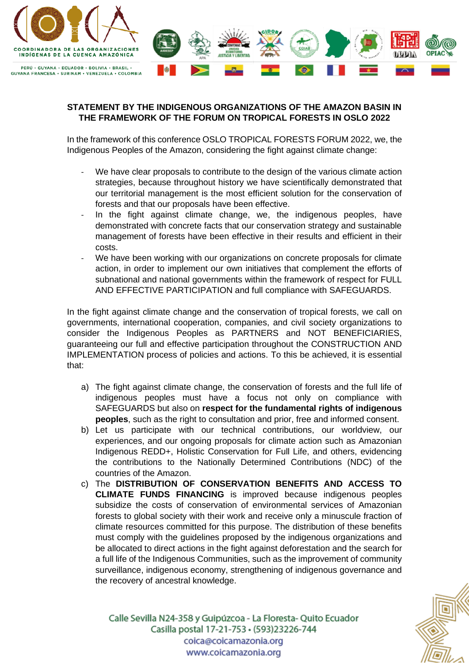

## **STATEMENT BY THE INDIGENOUS ORGANIZATIONS OF THE AMAZON BASIN IN THE FRAMEWORK OF THE FORUM ON TROPICAL FORESTS IN OSLO 2022**

In the framework of this conference OSLO TROPICAL FORESTS FORUM 2022, we, the Indigenous Peoples of the Amazon, considering the fight against climate change:

- We have clear proposals to contribute to the design of the various climate action strategies, because throughout history we have scientifically demonstrated that our territorial management is the most efficient solution for the conservation of forests and that our proposals have been effective.
- In the fight against climate change, we, the indigenous peoples, have demonstrated with concrete facts that our conservation strategy and sustainable management of forests have been effective in their results and efficient in their costs.
- We have been working with our organizations on concrete proposals for climate action, in order to implement our own initiatives that complement the efforts of subnational and national governments within the framework of respect for FULL AND EFFECTIVE PARTICIPATION and full compliance with SAFEGUARDS.

In the fight against climate change and the conservation of tropical forests, we call on governments, international cooperation, companies, and civil society organizations to consider the Indigenous Peoples as PARTNERS and NOT BENEFICIARIES, guaranteeing our full and effective participation throughout the CONSTRUCTION AND IMPLEMENTATION process of policies and actions. To this be achieved, it is essential that:

- a) The fight against climate change, the conservation of forests and the full life of indigenous peoples must have a focus not only on compliance with SAFEGUARDS but also on **respect for the fundamental rights of indigenous peoples**, such as the right to consultation and prior, free and informed consent.
- b) Let us participate with our technical contributions, our worldview, our experiences, and our ongoing proposals for climate action such as Amazonian Indigenous REDD+, Holistic Conservation for Full Life, and others, evidencing the contributions to the Nationally Determined Contributions (NDC) of the countries of the Amazon.
- c) The **DISTRIBUTION OF CONSERVATION BENEFITS AND ACCESS TO CLIMATE FUNDS FINANCING** is improved because indigenous peoples subsidize the costs of conservation of environmental services of Amazonian forests to global society with their work and receive only a minuscule fraction of climate resources committed for this purpose. The distribution of these benefits must comply with the guidelines proposed by the indigenous organizations and be allocated to direct actions in the fight against deforestation and the search for a full life of the Indigenous Communities, such as the improvement of community surveillance, indigenous economy, strengthening of indigenous governance and the recovery of ancestral knowledge.

Calle Sevilla N24-358 y Guipúzcoa - La Floresta-Quito Ecuador Casilla postal 17-21-753 · (593)23226-744 coica@coicamazonia.org www.coicamazonia.org